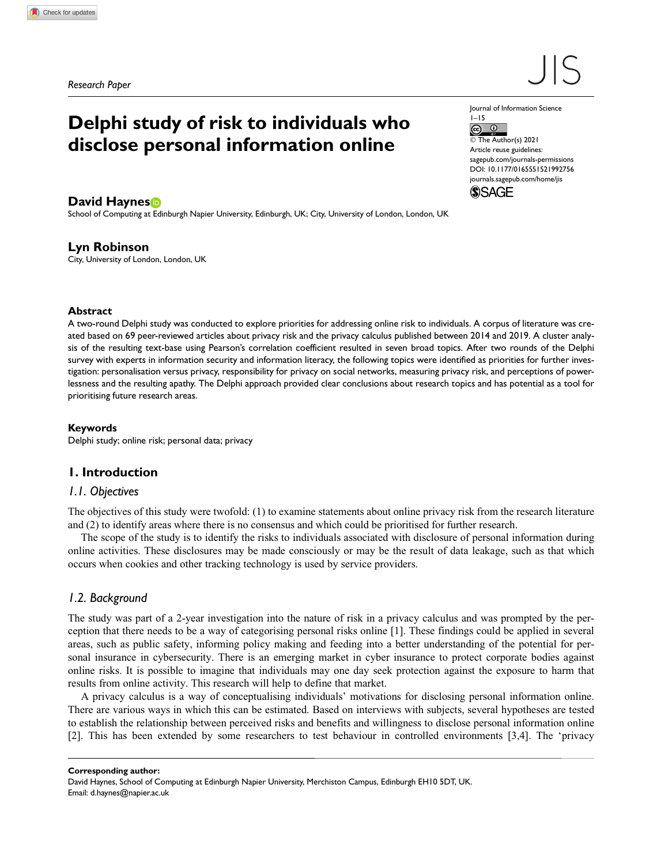# Delphi study of risk to individuals who disclose personal information online

David Haynes<sup>®</sup>

School of Computing at Edinburgh Napier University, Edinburgh, UK; City, University of London, London, UK

## Lyn Robinson

City, University of London, London, UK

#### Abstract

A two-round Delphi study was conducted to explore priorities for addressing online risk to individuals. A corpus of literature was created based on 69 peer-reviewed articles about privacy risk and the privacy calculus published between 2014 and 2019. A cluster analysis of the resulting text-base using Pearson's correlation coefficient resulted in seven broad topics. After two rounds of the Delphi survey with experts in information security and information literacy, the following topics were identified as priorities for further investigation: personalisation versus privacy, responsibility for privacy on social networks, measuring privacy risk, and perceptions of powerlessness and the resulting apathy. The Delphi approach provided clear conclusions about research topics and has potential as a tool for prioritising future research areas.

#### Keywords

Delphi study; online risk; personal data; privacy

## 1. Introduction

## 1.1. Objectives

The objectives of this study were twofold: (1) to examine statements about online privacy risk from the research literature and (2) to identify areas where there is no consensus and which could be prioritised for further research.

The scope of the study is to identify the risks to individuals associated with disclosure of personal information during online activities. These disclosures may be made consciously or may be the result of data leakage, such as that which occurs when cookies and other tracking technology is used by service providers.

## 1.2. Background

The study was part of a 2-year investigation into the nature of risk in a privacy calculus and was prompted by the perception that there needs to be a way of categorising personal risks online [1]. These findings could be applied in several areas, such as public safety, informing policy making and feeding into a better understanding of the potential for personal insurance in cybersecurity. There is an emerging market in cyber insurance to protect corporate bodies against online risks. It is possible to imagine that individuals may one day seek protection against the exposure to harm that results from online activity. This research will help to define that market.

A privacy calculus is a way of conceptualising individuals' motivations for disclosing personal information online. There are various ways in which this can be estimated. Based on interviews with subjects, several hypotheses are tested to establish the relationship between perceived risks and benefits and willingness to disclose personal information online [2]. This has been extended by some researchers to test behaviour in controlled environments [3,4]. The 'privacy

Corresponding author:

David Haynes, School of Computing at Edinburgh Napier University, Merchiston Campus, Edinburgh EH10 5DT, UK. Email: d.haynes@napier.ac.uk

Journal of Information Science 1–15

 $\odot$   $\odot$ © The Author(s) 2021

Article reuse guidelines: sagepub.com/journals-permissions DOI: 10.1177/0165551521992756 journals.sagepub.com/home/jis

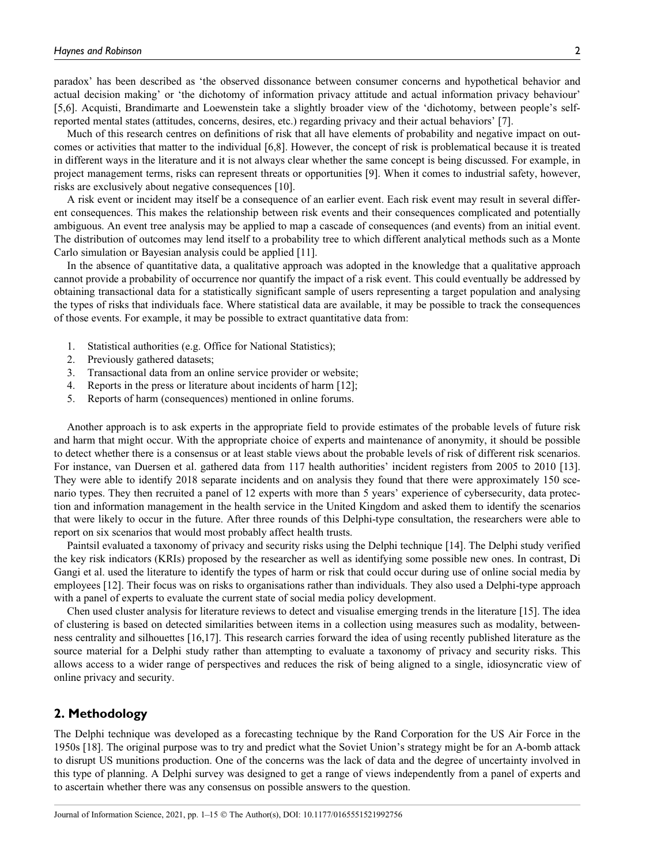paradox' has been described as 'the observed dissonance between consumer concerns and hypothetical behavior and actual decision making' or 'the dichotomy of information privacy attitude and actual information privacy behaviour' [5,6]. Acquisti, Brandimarte and Loewenstein take a slightly broader view of the 'dichotomy, between people's selfreported mental states (attitudes, concerns, desires, etc.) regarding privacy and their actual behaviors' [7].

Much of this research centres on definitions of risk that all have elements of probability and negative impact on outcomes or activities that matter to the individual [6,8]. However, the concept of risk is problematical because it is treated in different ways in the literature and it is not always clear whether the same concept is being discussed. For example, in project management terms, risks can represent threats or opportunities [9]. When it comes to industrial safety, however, risks are exclusively about negative consequences [10].

A risk event or incident may itself be a consequence of an earlier event. Each risk event may result in several different consequences. This makes the relationship between risk events and their consequences complicated and potentially ambiguous. An event tree analysis may be applied to map a cascade of consequences (and events) from an initial event. The distribution of outcomes may lend itself to a probability tree to which different analytical methods such as a Monte Carlo simulation or Bayesian analysis could be applied [11].

In the absence of quantitative data, a qualitative approach was adopted in the knowledge that a qualitative approach cannot provide a probability of occurrence nor quantify the impact of a risk event. This could eventually be addressed by obtaining transactional data for a statistically significant sample of users representing a target population and analysing the types of risks that individuals face. Where statistical data are available, it may be possible to track the consequences of those events. For example, it may be possible to extract quantitative data from:

- 1. Statistical authorities (e.g. Office for National Statistics);
- 2. Previously gathered datasets;
- 3. Transactional data from an online service provider or website;
- 4. Reports in the press or literature about incidents of harm [12];
- 5. Reports of harm (consequences) mentioned in online forums.

Another approach is to ask experts in the appropriate field to provide estimates of the probable levels of future risk and harm that might occur. With the appropriate choice of experts and maintenance of anonymity, it should be possible to detect whether there is a consensus or at least stable views about the probable levels of risk of different risk scenarios. For instance, van Duersen et al. gathered data from 117 health authorities' incident registers from 2005 to 2010 [13]. They were able to identify 2018 separate incidents and on analysis they found that there were approximately 150 scenario types. They then recruited a panel of 12 experts with more than 5 years' experience of cybersecurity, data protection and information management in the health service in the United Kingdom and asked them to identify the scenarios that were likely to occur in the future. After three rounds of this Delphi-type consultation, the researchers were able to report on six scenarios that would most probably affect health trusts.

Paintsil evaluated a taxonomy of privacy and security risks using the Delphi technique [14]. The Delphi study verified the key risk indicators (KRIs) proposed by the researcher as well as identifying some possible new ones. In contrast, Di Gangi et al. used the literature to identify the types of harm or risk that could occur during use of online social media by employees [12]. Their focus was on risks to organisations rather than individuals. They also used a Delphi-type approach with a panel of experts to evaluate the current state of social media policy development.

Chen used cluster analysis for literature reviews to detect and visualise emerging trends in the literature [15]. The idea of clustering is based on detected similarities between items in a collection using measures such as modality, betweenness centrality and silhouettes [16,17]. This research carries forward the idea of using recently published literature as the source material for a Delphi study rather than attempting to evaluate a taxonomy of privacy and security risks. This allows access to a wider range of perspectives and reduces the risk of being aligned to a single, idiosyncratic view of online privacy and security.

## 2. Methodology

The Delphi technique was developed as a forecasting technique by the Rand Corporation for the US Air Force in the 1950s [18]. The original purpose was to try and predict what the Soviet Union's strategy might be for an A-bomb attack to disrupt US munitions production. One of the concerns was the lack of data and the degree of uncertainty involved in this type of planning. A Delphi survey was designed to get a range of views independently from a panel of experts and to ascertain whether there was any consensus on possible answers to the question.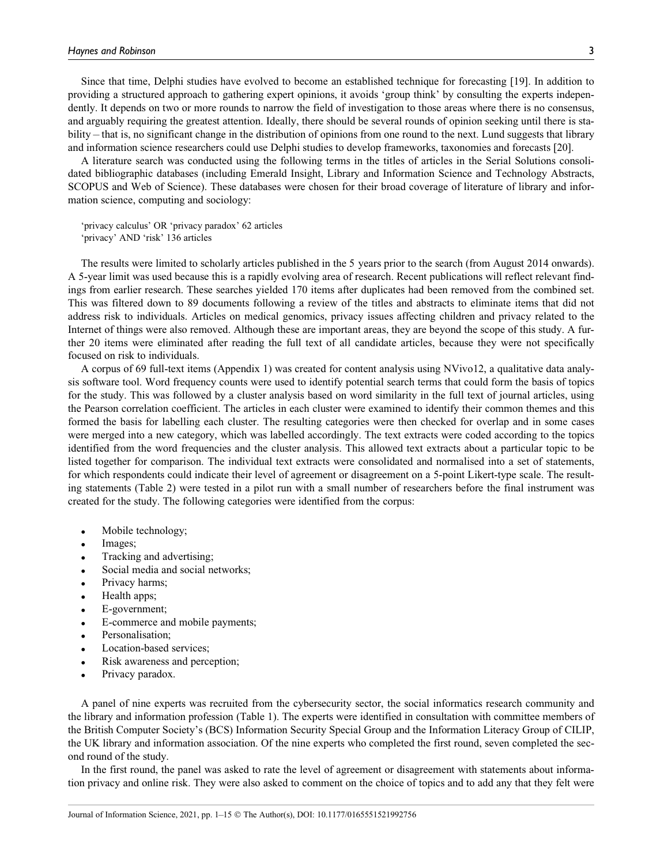Since that time, Delphi studies have evolved to become an established technique for forecasting [19]. In addition to providing a structured approach to gathering expert opinions, it avoids 'group think' by consulting the experts independently. It depends on two or more rounds to narrow the field of investigation to those areas where there is no consensus, and arguably requiring the greatest attention. Ideally, there should be several rounds of opinion seeking until there is stability – that is, no significant change in the distribution of opinions from one round to the next. Lund suggests that library and information science researchers could use Delphi studies to develop frameworks, taxonomies and forecasts [20].

A literature search was conducted using the following terms in the titles of articles in the Serial Solutions consolidated bibliographic databases (including Emerald Insight, Library and Information Science and Technology Abstracts, SCOPUS and Web of Science). These databases were chosen for their broad coverage of literature of library and information science, computing and sociology:

'privacy calculus' OR 'privacy paradox' 62 articles 'privacy' AND 'risk' 136 articles

The results were limited to scholarly articles published in the 5 years prior to the search (from August 2014 onwards). A 5-year limit was used because this is a rapidly evolving area of research. Recent publications will reflect relevant findings from earlier research. These searches yielded 170 items after duplicates had been removed from the combined set. This was filtered down to 89 documents following a review of the titles and abstracts to eliminate items that did not address risk to individuals. Articles on medical genomics, privacy issues affecting children and privacy related to the Internet of things were also removed. Although these are important areas, they are beyond the scope of this study. A further 20 items were eliminated after reading the full text of all candidate articles, because they were not specifically focused on risk to individuals.

A corpus of 69 full-text items (Appendix 1) was created for content analysis using NVivo12, a qualitative data analysis software tool. Word frequency counts were used to identify potential search terms that could form the basis of topics for the study. This was followed by a cluster analysis based on word similarity in the full text of journal articles, using the Pearson correlation coefficient. The articles in each cluster were examined to identify their common themes and this formed the basis for labelling each cluster. The resulting categories were then checked for overlap and in some cases were merged into a new category, which was labelled accordingly. The text extracts were coded according to the topics identified from the word frequencies and the cluster analysis. This allowed text extracts about a particular topic to be listed together for comparison. The individual text extracts were consolidated and normalised into a set of statements, for which respondents could indicate their level of agreement or disagreement on a 5-point Likert-type scale. The resulting statements (Table 2) were tested in a pilot run with a small number of researchers before the final instrument was created for the study. The following categories were identified from the corpus:

- Mobile technology;
- Images;
- Tracking and advertising;
- Social media and social networks;
- Privacy harms;
- Health apps;
- E-government;
- E-commerce and mobile payments;
- Personalisation;
- Location-based services:
- Risk awareness and perception;
- Privacy paradox.

A panel of nine experts was recruited from the cybersecurity sector, the social informatics research community and the library and information profession (Table 1). The experts were identified in consultation with committee members of the British Computer Society's (BCS) Information Security Special Group and the Information Literacy Group of CILIP, the UK library and information association. Of the nine experts who completed the first round, seven completed the second round of the study.

In the first round, the panel was asked to rate the level of agreement or disagreement with statements about information privacy and online risk. They were also asked to comment on the choice of topics and to add any that they felt were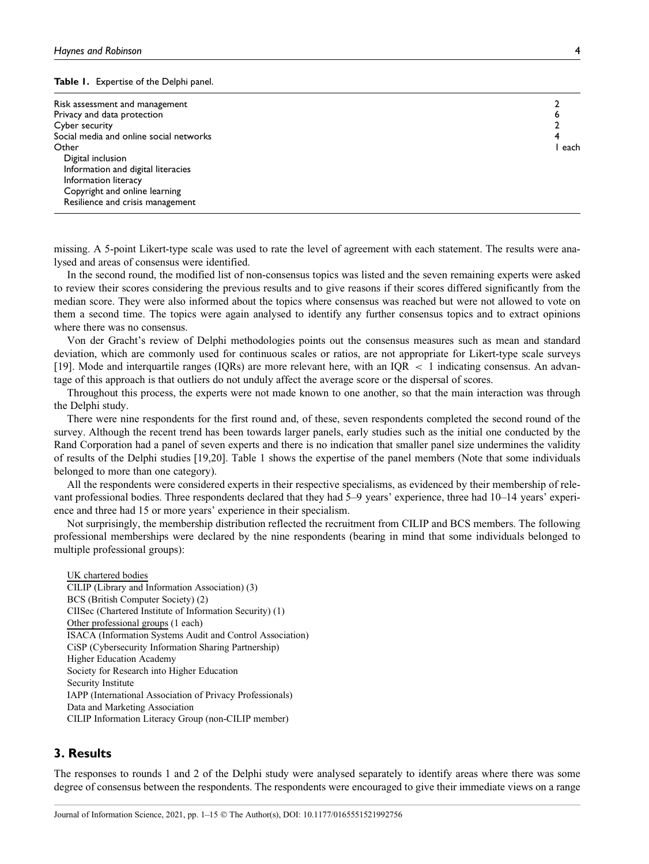Table 1. Expertise of the Delphi panel.

| Risk assessment and management          |      |
|-----------------------------------------|------|
| Privacy and data protection             |      |
| Cyber security                          |      |
| Social media and online social networks |      |
| Other                                   | each |
| Digital inclusion                       |      |
| Information and digital literacies      |      |
| Information literacy                    |      |
| Copyright and online learning           |      |
| Resilience and crisis management        |      |

missing. A 5-point Likert-type scale was used to rate the level of agreement with each statement. The results were analysed and areas of consensus were identified.

In the second round, the modified list of non-consensus topics was listed and the seven remaining experts were asked to review their scores considering the previous results and to give reasons if their scores differed significantly from the median score. They were also informed about the topics where consensus was reached but were not allowed to vote on them a second time. The topics were again analysed to identify any further consensus topics and to extract opinions where there was no consensus.

Von der Gracht's review of Delphi methodologies points out the consensus measures such as mean and standard deviation, which are commonly used for continuous scales or ratios, are not appropriate for Likert-type scale surveys [19]. Mode and interquartile ranges (IQRs) are more relevant here, with an IQR < 1 indicating consensus. An advantage of this approach is that outliers do not unduly affect the average score or the dispersal of scores.

Throughout this process, the experts were not made known to one another, so that the main interaction was through the Delphi study.

There were nine respondents for the first round and, of these, seven respondents completed the second round of the survey. Although the recent trend has been towards larger panels, early studies such as the initial one conducted by the Rand Corporation had a panel of seven experts and there is no indication that smaller panel size undermines the validity of results of the Delphi studies [19,20]. Table 1 shows the expertise of the panel members (Note that some individuals belonged to more than one category).

All the respondents were considered experts in their respective specialisms, as evidenced by their membership of relevant professional bodies. Three respondents declared that they had 5–9 years' experience, three had 10–14 years' experience and three had 15 or more years' experience in their specialism.

Not surprisingly, the membership distribution reflected the recruitment from CILIP and BCS members. The following professional memberships were declared by the nine respondents (bearing in mind that some individuals belonged to multiple professional groups):

UK chartered bodies CILIP (Library and Information Association) (3) BCS (British Computer Society) (2) CIISec (Chartered Institute of Information Security) (1) Other professional groups (1 each) ISACA (Information Systems Audit and Control Association) CiSP (Cybersecurity Information Sharing Partnership) Higher Education Academy Society for Research into Higher Education Security Institute IAPP (International Association of Privacy Professionals) Data and Marketing Association CILIP Information Literacy Group (non-CILIP member)

## 3. Results

The responses to rounds 1 and 2 of the Delphi study were analysed separately to identify areas where there was some degree of consensus between the respondents. The respondents were encouraged to give their immediate views on a range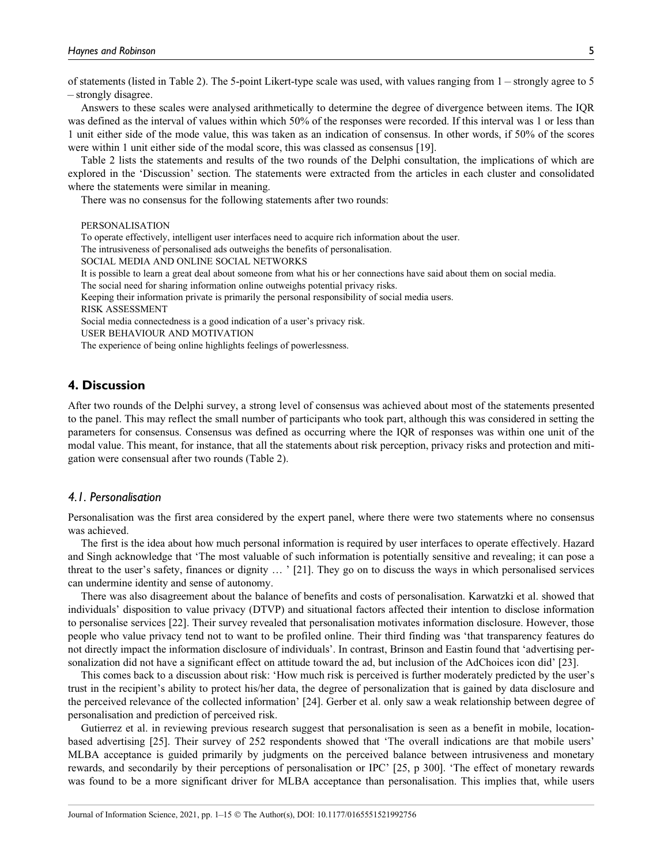of statements (listed in Table 2). The 5-point Likert-type scale was used, with values ranging from 1 – strongly agree to 5 – strongly disagree.

Answers to these scales were analysed arithmetically to determine the degree of divergence between items. The IQR was defined as the interval of values within which 50% of the responses were recorded. If this interval was 1 or less than 1 unit either side of the mode value, this was taken as an indication of consensus. In other words, if 50% of the scores were within 1 unit either side of the modal score, this was classed as consensus [19].

Table 2 lists the statements and results of the two rounds of the Delphi consultation, the implications of which are explored in the 'Discussion' section. The statements were extracted from the articles in each cluster and consolidated where the statements were similar in meaning.

There was no consensus for the following statements after two rounds:

PERSONALISATION

To operate effectively, intelligent user interfaces need to acquire rich information about the user.

The intrusiveness of personalised ads outweighs the benefits of personalisation.

SOCIAL MEDIA AND ONLINE SOCIAL NETWORKS

It is possible to learn a great deal about someone from what his or her connections have said about them on social media.

The social need for sharing information online outweighs potential privacy risks.

Keeping their information private is primarily the personal responsibility of social media users.

RISK ASSESSMENT

Social media connectedness is a good indication of a user's privacy risk.

USER BEHAVIOUR AND MOTIVATION

The experience of being online highlights feelings of powerlessness.

# 4. Discussion

After two rounds of the Delphi survey, a strong level of consensus was achieved about most of the statements presented to the panel. This may reflect the small number of participants who took part, although this was considered in setting the parameters for consensus. Consensus was defined as occurring where the IQR of responses was within one unit of the modal value. This meant, for instance, that all the statements about risk perception, privacy risks and protection and mitigation were consensual after two rounds (Table 2).

# 4.1. Personalisation

Personalisation was the first area considered by the expert panel, where there were two statements where no consensus was achieved.

The first is the idea about how much personal information is required by user interfaces to operate effectively. Hazard and Singh acknowledge that 'The most valuable of such information is potentially sensitive and revealing; it can pose a threat to the user's safety, finances or dignity . ' [21]. They go on to discuss the ways in which personalised services can undermine identity and sense of autonomy.

There was also disagreement about the balance of benefits and costs of personalisation. Karwatzki et al. showed that individuals' disposition to value privacy (DTVP) and situational factors affected their intention to disclose information to personalise services [22]. Their survey revealed that personalisation motivates information disclosure. However, those people who value privacy tend not to want to be profiled online. Their third finding was 'that transparency features do not directly impact the information disclosure of individuals'. In contrast, Brinson and Eastin found that 'advertising personalization did not have a significant effect on attitude toward the ad, but inclusion of the AdChoices icon did' [23].

This comes back to a discussion about risk: 'How much risk is perceived is further moderately predicted by the user's trust in the recipient's ability to protect his/her data, the degree of personalization that is gained by data disclosure and the perceived relevance of the collected information' [24]. Gerber et al. only saw a weak relationship between degree of personalisation and prediction of perceived risk.

Gutierrez et al. in reviewing previous research suggest that personalisation is seen as a benefit in mobile, locationbased advertising [25]. Their survey of 252 respondents showed that 'The overall indications are that mobile users' MLBA acceptance is guided primarily by judgments on the perceived balance between intrusiveness and monetary rewards, and secondarily by their perceptions of personalisation or IPC' [25, p 300]. 'The effect of monetary rewards was found to be a more significant driver for MLBA acceptance than personalisation. This implies that, while users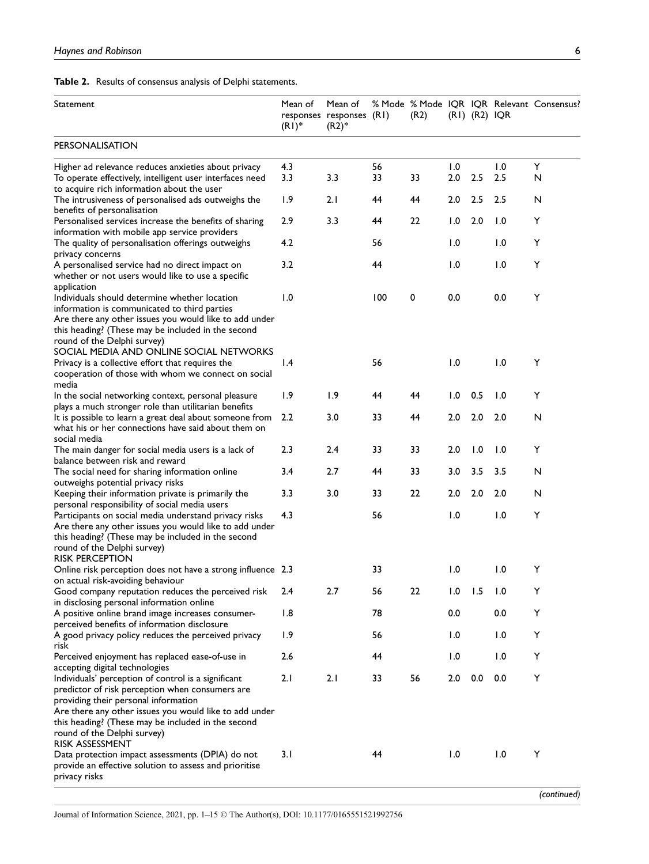Table 2. Results of consensus analysis of Delphi statements.

| Statement                                                                                              | Mean of<br>$(RI)^*$ | Mean of<br>responses responses (R1)<br>$(R2)^*$ |     | (R2) |     | $(RI)$ $(R2)$ $IQR$ |     | % Mode % Mode IQR IQR Relevant Consensus? |
|--------------------------------------------------------------------------------------------------------|---------------------|-------------------------------------------------|-----|------|-----|---------------------|-----|-------------------------------------------|
| <b>PERSONALISATION</b>                                                                                 |                     |                                                 |     |      |     |                     |     |                                           |
| Higher ad relevance reduces anxieties about privacy                                                    | 4.3                 |                                                 | 56  |      | 1.0 |                     | 1.0 | Y                                         |
| To operate effectively, intelligent user interfaces need                                               | 3.3                 | 3.3                                             | 33  | 33   | 2.0 | 2.5                 | 2.5 | N                                         |
| to acquire rich information about the user                                                             |                     |                                                 |     |      |     |                     |     |                                           |
| The intrusiveness of personalised ads outweighs the<br>benefits of personalisation                     | 1.9                 | 2.1                                             | 44  | 44   | 2.0 | 2.5                 | 2.5 | N                                         |
| Personalised services increase the benefits of sharing                                                 | 2.9                 | 3.3                                             | 44  | 22   | 1.0 | 2.0                 | 1.0 | Y                                         |
| information with mobile app service providers                                                          |                     |                                                 |     |      |     |                     |     |                                           |
| The quality of personalisation offerings outweighs                                                     | 4.2                 |                                                 | 56  |      | 1.0 |                     | 1.0 | Υ                                         |
| privacy concerns                                                                                       |                     |                                                 |     |      |     |                     |     |                                           |
| A personalised service had no direct impact on                                                         | 3.2                 |                                                 | 44  |      | 1.0 |                     | 1.0 | Y                                         |
| whether or not users would like to use a specific<br>application                                       |                     |                                                 |     |      |     |                     |     |                                           |
| Individuals should determine whether location                                                          | 1.0                 |                                                 | 100 | 0    | 0.0 |                     | 0.0 | Υ                                         |
| information is communicated to third parties                                                           |                     |                                                 |     |      |     |                     |     |                                           |
| Are there any other issues you would like to add under                                                 |                     |                                                 |     |      |     |                     |     |                                           |
| this heading? (These may be included in the second                                                     |                     |                                                 |     |      |     |                     |     |                                           |
| round of the Delphi survey)                                                                            |                     |                                                 |     |      |     |                     |     |                                           |
| SOCIAL MEDIA AND ONLINE SOCIAL NETWORKS<br>Privacy is a collective effort that requires the            | $\mathsf{I}$ .4     |                                                 | 56  |      | 1.0 |                     | 1.0 | Υ                                         |
| cooperation of those with whom we connect on social                                                    |                     |                                                 |     |      |     |                     |     |                                           |
| media                                                                                                  |                     |                                                 |     |      |     |                     |     |                                           |
| In the social networking context, personal pleasure                                                    | 1.9                 | 1.9                                             | 44  | 44   | 1.0 | 0.5                 | 1.0 | Υ                                         |
| plays a much stronger role than utilitarian benefits                                                   |                     |                                                 |     |      |     |                     |     |                                           |
| It is possible to learn a great deal about someone from                                                | 2.2                 | 3.0                                             | 33  | 44   | 2.0 | 2.0                 | 2.0 | N                                         |
| what his or her connections have said about them on<br>social media                                    |                     |                                                 |     |      |     |                     |     |                                           |
| The main danger for social media users is a lack of                                                    | 2.3                 | 2.4                                             | 33  | 33   | 2.0 | 1.0                 | 1.0 | Υ                                         |
| balance between risk and reward                                                                        |                     |                                                 |     |      |     |                     |     |                                           |
| The social need for sharing information online                                                         | 3.4                 | 2.7                                             | 44  | 33   | 3.0 | 3.5                 | 3.5 | N                                         |
| outweighs potential privacy risks                                                                      |                     |                                                 |     |      |     |                     |     |                                           |
| Keeping their information private is primarily the                                                     | 3.3                 | 3.0                                             | 33  | 22   | 2.0 | 2.0                 | 2.0 | N                                         |
| personal responsibility of social media users<br>Participants on social media understand privacy risks | 4.3                 |                                                 | 56  |      | 1.0 |                     | 1.0 | Υ                                         |
| Are there any other issues you would like to add under                                                 |                     |                                                 |     |      |     |                     |     |                                           |
| this heading? (These may be included in the second                                                     |                     |                                                 |     |      |     |                     |     |                                           |
| round of the Delphi survey)                                                                            |                     |                                                 |     |      |     |                     |     |                                           |
| <b>RISK PERCEPTION</b>                                                                                 |                     |                                                 |     |      |     |                     |     |                                           |
| Online risk perception does not have a strong influence 2.3<br>on actual risk-avoiding behaviour       |                     |                                                 | 33  |      | 1.0 |                     | 1.0 | Υ                                         |
| Good company reputation reduces the perceived risk                                                     | 2.4                 | 2.7                                             | 56  | 22   | 1.0 | 1.5                 | 1.0 | Υ                                         |
| in disclosing personal information online                                                              |                     |                                                 |     |      |     |                     |     |                                           |
| A positive online brand image increases consumer-                                                      | 1.8                 |                                                 | 78  |      | 0.0 |                     | 0.0 | Υ                                         |
| perceived benefits of information disclosure                                                           |                     |                                                 |     |      |     |                     |     |                                           |
| A good privacy policy reduces the perceived privacy                                                    | 1.9                 |                                                 | 56  |      | 1.0 |                     | 1.0 | Υ                                         |
| risk<br>Perceived enjoyment has replaced ease-of-use in                                                | 2.6                 |                                                 | 44  |      | 1.0 |                     | 1.0 | Υ                                         |
| accepting digital technologies                                                                         |                     |                                                 |     |      |     |                     |     |                                           |
| Individuals' perception of control is a significant                                                    | 2.1                 | 2.1                                             | 33  | 56   | 2.0 | 0.0                 | 0.0 | Υ                                         |
| predictor of risk perception when consumers are                                                        |                     |                                                 |     |      |     |                     |     |                                           |
| providing their personal information                                                                   |                     |                                                 |     |      |     |                     |     |                                           |
| Are there any other issues you would like to add under                                                 |                     |                                                 |     |      |     |                     |     |                                           |
| this heading? (These may be included in the second<br>round of the Delphi survey)                      |                     |                                                 |     |      |     |                     |     |                                           |
| RISK ASSESSMENT                                                                                        |                     |                                                 |     |      |     |                     |     |                                           |
| Data protection impact assessments (DPIA) do not                                                       | 3. I                |                                                 | 44  |      | 1.0 |                     | 1.0 | Υ                                         |
| provide an effective solution to assess and prioritise                                                 |                     |                                                 |     |      |     |                     |     |                                           |
| privacy risks                                                                                          |                     |                                                 |     |      |     |                     |     |                                           |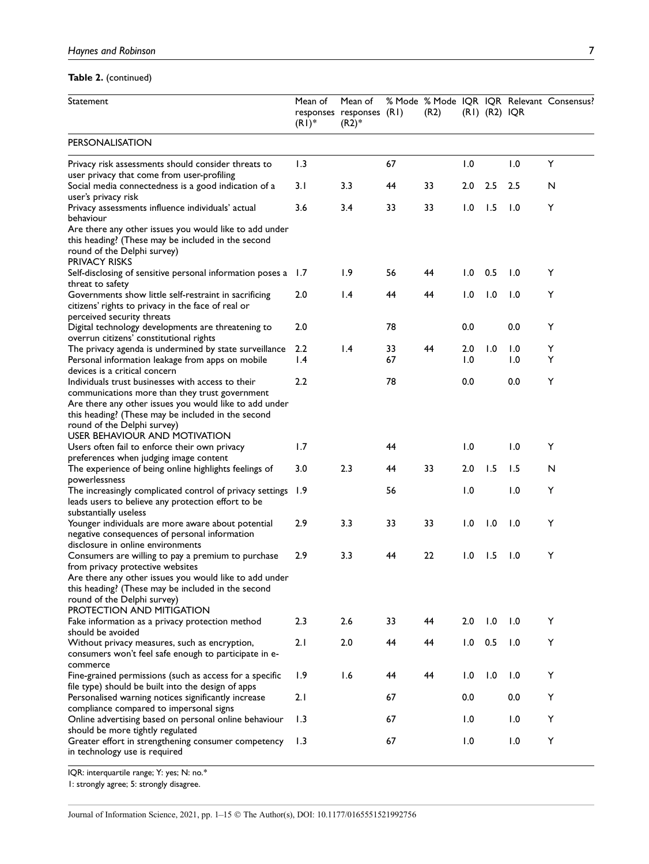# Table 2. (continued)

| Statement                                                                                                                                                                                                                                          | Mean of<br>$(RI)^*$                 | Mean of<br>responses responses (R1)<br>$(R2)^*$ |          | (R2) |            | $(RI)$ $(R2)$ $IQR$ |            | % Mode % Mode IQR IQR Relevant Consensus? |
|----------------------------------------------------------------------------------------------------------------------------------------------------------------------------------------------------------------------------------------------------|-------------------------------------|-------------------------------------------------|----------|------|------------|---------------------|------------|-------------------------------------------|
| <b>PERSONALISATION</b>                                                                                                                                                                                                                             |                                     |                                                 |          |      |            |                     |            |                                           |
| Privacy risk assessments should consider threats to                                                                                                                                                                                                | 1.3                                 |                                                 | 67       |      | 1.0        |                     | 1.0        | Υ                                         |
| user privacy that come from user-profiling<br>Social media connectedness is a good indication of a                                                                                                                                                 | 3. I                                | 3.3                                             | 44       | 33   | 2.0        | 2.5                 | 2.5        | N                                         |
| user's privacy risk<br>Privacy assessments influence individuals' actual<br>behaviour<br>Are there any other issues you would like to add under<br>this heading? (These may be included in the second                                              | 3.6                                 | 3.4                                             | 33       | 33   | 1.0        | 1.5                 | 1.0        | Υ                                         |
| round of the Delphi survey)<br><b>PRIVACY RISKS</b>                                                                                                                                                                                                |                                     |                                                 |          |      |            |                     |            |                                           |
| Self-disclosing of sensitive personal information poses a<br>threat to safety                                                                                                                                                                      | 1.7                                 | 1.9                                             | 56       | 44   | 1.0        | 0.5                 | 1.0        | Y                                         |
| Governments show little self-restraint in sacrificing<br>citizens' rights to privacy in the face of real or<br>perceived security threats                                                                                                          | 2.0                                 | $\mathsf{I}$ .4                                 | 44       | 44   | 1.0        | 1.0                 | 1.0        | Y                                         |
| Digital technology developments are threatening to<br>overrun citizens' constitutional rights                                                                                                                                                      | 2.0                                 |                                                 | 78       |      | 0.0        |                     | 0.0        | Y                                         |
| The privacy agenda is undermined by state surveillance<br>Personal information leakage from apps on mobile<br>devices is a critical concern                                                                                                        | $2.2\phantom{0}$<br>$\mathsf{I}$ .4 | $\mathsf{I}$ .4                                 | 33<br>67 | 44   | 2.0<br>1.0 | 1.0                 | 1.0<br>1.0 | Y<br>Y                                    |
| Individuals trust businesses with access to their<br>communications more than they trust government<br>Are there any other issues you would like to add under<br>this heading? (These may be included in the second<br>round of the Delphi survey) | 2.2                                 |                                                 | 78       |      | 0.0        |                     | 0.0        | Y                                         |
| <b>USER BEHAVIOUR AND MOTIVATION</b><br>Users often fail to enforce their own privacy                                                                                                                                                              | 1.7                                 |                                                 | 44       |      | 1.0        |                     | 1.0        | Y                                         |
| preferences when judging image content<br>The experience of being online highlights feelings of                                                                                                                                                    | 3.0                                 | 2.3                                             | 44       | 33   | 2.0        | 1.5                 | 1.5        | N                                         |
| powerlessness<br>The increasingly complicated control of privacy settings<br>leads users to believe any protection effort to be<br>substantially useless                                                                                           | 1.9                                 |                                                 | 56       |      | 1.0        |                     | 1.0        | Υ                                         |
| Younger individuals are more aware about potential<br>negative consequences of personal information<br>disclosure in online environments                                                                                                           | 2.9                                 | 3.3                                             | 33       | 33   | 1.0        | 1.0                 | 1.0        | Υ                                         |
| Consumers are willing to pay a premium to purchase<br>from privacy protective websites                                                                                                                                                             | 2.9                                 | 3.3                                             | 44       | 22   | 1.0        | 1.5                 | 1.0        | Υ                                         |
| Are there any other issues you would like to add under<br>this heading? (These may be included in the second<br>round of the Delphi survey)<br>PROTECTION AND MITIGATION                                                                           |                                     |                                                 |          |      |            |                     |            |                                           |
| Fake information as a privacy protection method<br>should be avoided                                                                                                                                                                               | 2.3                                 | 2.6                                             | 33       | 44   | 2.0        | 1.0                 | 1.0        | Υ                                         |
| Without privacy measures, such as encryption,<br>consumers won't feel safe enough to participate in e-<br>commerce                                                                                                                                 | 2.1                                 | 2.0                                             | 44       | 44   | 1.0        | 0.5                 | 1.0        | Υ                                         |
| Fine-grained permissions (such as access for a specific<br>file type) should be built into the design of apps                                                                                                                                      | 1.9                                 | 1.6                                             | 44       | 44   | 1.0        | 1.0                 | 1.0        | Υ                                         |
| Personalised warning notices significantly increase<br>compliance compared to impersonal signs                                                                                                                                                     | 2.1                                 |                                                 | 67       |      | 0.0        |                     | 0.0        | Υ                                         |
| Online advertising based on personal online behaviour<br>should be more tightly regulated                                                                                                                                                          | 1.3                                 |                                                 | 67       |      | 1.0        |                     | 1.0        | Υ                                         |
| Greater effort in strengthening consumer competency<br>in technology use is required                                                                                                                                                               | 1.3                                 |                                                 | 67       |      | 1.0        |                     | 1.0        | Υ                                         |

IQR: interquartile range; Y: yes; N: no.\*

1: strongly agree; 5: strongly disagree.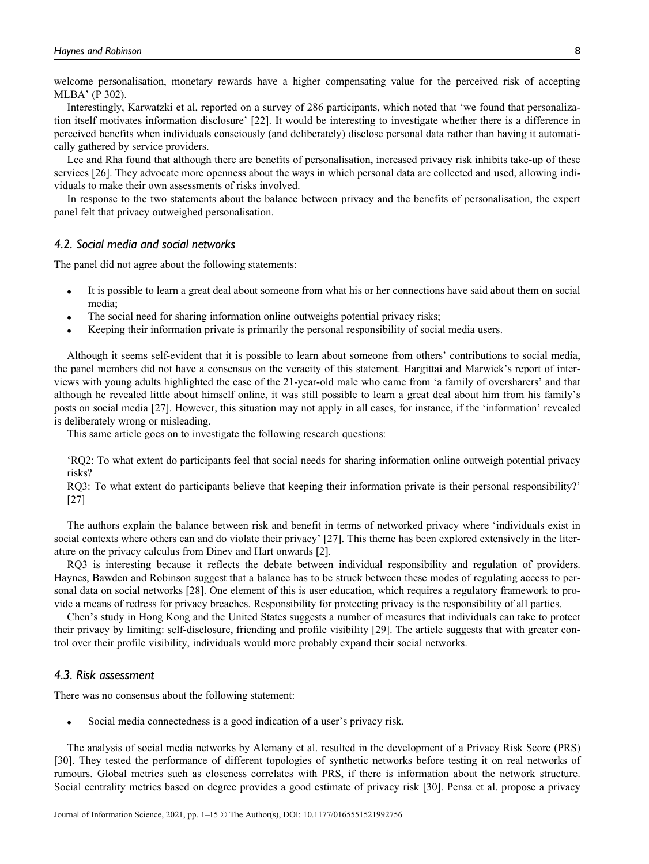welcome personalisation, monetary rewards have a higher compensating value for the perceived risk of accepting MLBA' (P 302).

Interestingly, Karwatzki et al, reported on a survey of 286 participants, which noted that 'we found that personalization itself motivates information disclosure' [22]. It would be interesting to investigate whether there is a difference in perceived benefits when individuals consciously (and deliberately) disclose personal data rather than having it automatically gathered by service providers.

Lee and Rha found that although there are benefits of personalisation, increased privacy risk inhibits take-up of these services [26]. They advocate more openness about the ways in which personal data are collected and used, allowing individuals to make their own assessments of risks involved.

In response to the two statements about the balance between privacy and the benefits of personalisation, the expert panel felt that privacy outweighed personalisation.

#### 4.2. Social media and social networks

The panel did not agree about the following statements:

- It is possible to learn a great deal about someone from what his or her connections have said about them on social media;
- The social need for sharing information online outweighs potential privacy risks;
- Keeping their information private is primarily the personal responsibility of social media users.

Although it seems self-evident that it is possible to learn about someone from others' contributions to social media, the panel members did not have a consensus on the veracity of this statement. Hargittai and Marwick's report of interviews with young adults highlighted the case of the 21-year-old male who came from 'a family of oversharers' and that although he revealed little about himself online, it was still possible to learn a great deal about him from his family's posts on social media [27]. However, this situation may not apply in all cases, for instance, if the 'information' revealed is deliberately wrong or misleading.

This same article goes on to investigate the following research questions:

'RQ2: To what extent do participants feel that social needs for sharing information online outweigh potential privacy risks?

RQ3: To what extent do participants believe that keeping their information private is their personal responsibility?' [27]

The authors explain the balance between risk and benefit in terms of networked privacy where 'individuals exist in social contexts where others can and do violate their privacy' [27]. This theme has been explored extensively in the literature on the privacy calculus from Dinev and Hart onwards [2].

RQ3 is interesting because it reflects the debate between individual responsibility and regulation of providers. Haynes, Bawden and Robinson suggest that a balance has to be struck between these modes of regulating access to personal data on social networks [28]. One element of this is user education, which requires a regulatory framework to provide a means of redress for privacy breaches. Responsibility for protecting privacy is the responsibility of all parties.

Chen's study in Hong Kong and the United States suggests a number of measures that individuals can take to protect their privacy by limiting: self-disclosure, friending and profile visibility [29]. The article suggests that with greater control over their profile visibility, individuals would more probably expand their social networks.

## 4.3. Risk assessment

There was no consensus about the following statement:

Social media connectedness is a good indication of a user's privacy risk.

The analysis of social media networks by Alemany et al. resulted in the development of a Privacy Risk Score (PRS) [30]. They tested the performance of different topologies of synthetic networks before testing it on real networks of rumours. Global metrics such as closeness correlates with PRS, if there is information about the network structure. Social centrality metrics based on degree provides a good estimate of privacy risk [30]. Pensa et al. propose a privacy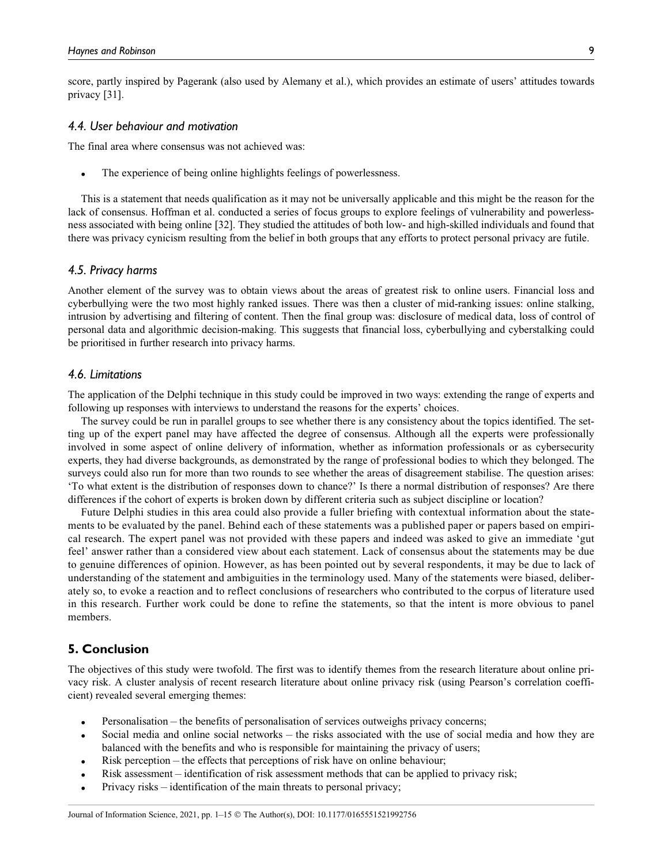score, partly inspired by Pagerank (also used by Alemany et al.), which provides an estimate of users' attitudes towards privacy [31].

#### 4.4. User behaviour and motivation

The final area where consensus was not achieved was:

The experience of being online highlights feelings of powerlessness.

This is a statement that needs qualification as it may not be universally applicable and this might be the reason for the lack of consensus. Hoffman et al. conducted a series of focus groups to explore feelings of vulnerability and powerlessness associated with being online [32]. They studied the attitudes of both low- and high-skilled individuals and found that there was privacy cynicism resulting from the belief in both groups that any efforts to protect personal privacy are futile.

#### 4.5. Privacy harms

Another element of the survey was to obtain views about the areas of greatest risk to online users. Financial loss and cyberbullying were the two most highly ranked issues. There was then a cluster of mid-ranking issues: online stalking, intrusion by advertising and filtering of content. Then the final group was: disclosure of medical data, loss of control of personal data and algorithmic decision-making. This suggests that financial loss, cyberbullying and cyberstalking could be prioritised in further research into privacy harms.

#### 4.6. Limitations

The application of the Delphi technique in this study could be improved in two ways: extending the range of experts and following up responses with interviews to understand the reasons for the experts' choices.

The survey could be run in parallel groups to see whether there is any consistency about the topics identified. The setting up of the expert panel may have affected the degree of consensus. Although all the experts were professionally involved in some aspect of online delivery of information, whether as information professionals or as cybersecurity experts, they had diverse backgrounds, as demonstrated by the range of professional bodies to which they belonged. The surveys could also run for more than two rounds to see whether the areas of disagreement stabilise. The question arises: 'To what extent is the distribution of responses down to chance?' Is there a normal distribution of responses? Are there differences if the cohort of experts is broken down by different criteria such as subject discipline or location?

Future Delphi studies in this area could also provide a fuller briefing with contextual information about the statements to be evaluated by the panel. Behind each of these statements was a published paper or papers based on empirical research. The expert panel was not provided with these papers and indeed was asked to give an immediate 'gut feel' answer rather than a considered view about each statement. Lack of consensus about the statements may be due to genuine differences of opinion. However, as has been pointed out by several respondents, it may be due to lack of understanding of the statement and ambiguities in the terminology used. Many of the statements were biased, deliberately so, to evoke a reaction and to reflect conclusions of researchers who contributed to the corpus of literature used in this research. Further work could be done to refine the statements, so that the intent is more obvious to panel members.

# 5. Conclusion

The objectives of this study were twofold. The first was to identify themes from the research literature about online privacy risk. A cluster analysis of recent research literature about online privacy risk (using Pearson's correlation coefficient) revealed several emerging themes:

- Personalisation the benefits of personalisation of services outweighs privacy concerns;
- Social media and online social networks the risks associated with the use of social media and how they are balanced with the benefits and who is responsible for maintaining the privacy of users;
- Risk perception the effects that perceptions of risk have on online behaviour;
- Risk assessment identification of risk assessment methods that can be applied to privacy risk;
- Privacy risks identification of the main threats to personal privacy;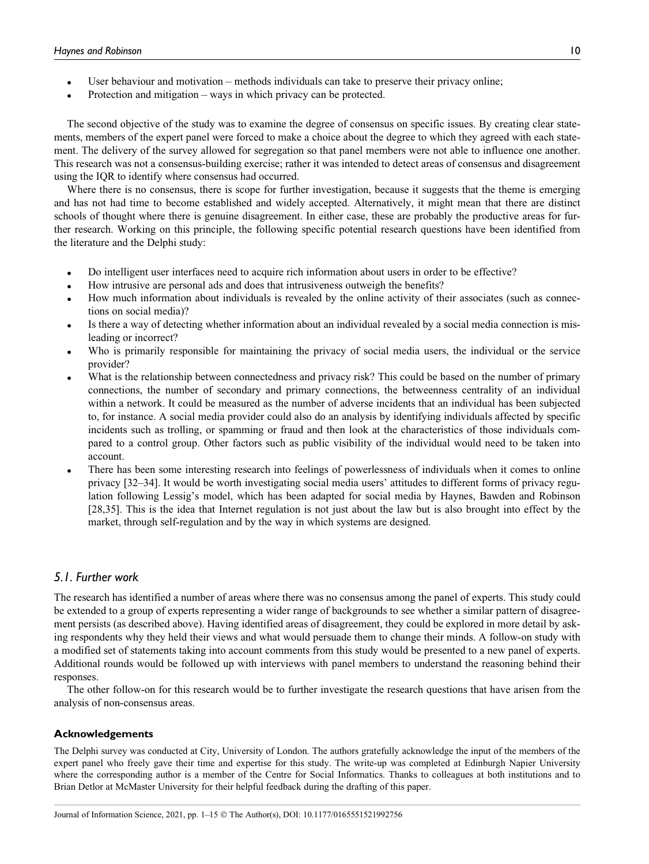- User behaviour and motivation methods individuals can take to preserve their privacy online;
- Protection and mitigation ways in which privacy can be protected.

The second objective of the study was to examine the degree of consensus on specific issues. By creating clear statements, members of the expert panel were forced to make a choice about the degree to which they agreed with each statement. The delivery of the survey allowed for segregation so that panel members were not able to influence one another. This research was not a consensus-building exercise; rather it was intended to detect areas of consensus and disagreement using the IQR to identify where consensus had occurred.

Where there is no consensus, there is scope for further investigation, because it suggests that the theme is emerging and has not had time to become established and widely accepted. Alternatively, it might mean that there are distinct schools of thought where there is genuine disagreement. In either case, these are probably the productive areas for further research. Working on this principle, the following specific potential research questions have been identified from the literature and the Delphi study:

- Do intelligent user interfaces need to acquire rich information about users in order to be effective?
- How intrusive are personal ads and does that intrusiveness outweigh the benefits?
- How much information about individuals is revealed by the online activity of their associates (such as connections on social media)?
- Is there a way of detecting whether information about an individual revealed by a social media connection is misleading or incorrect?
- Who is primarily responsible for maintaining the privacy of social media users, the individual or the service provider?
- What is the relationship between connectedness and privacy risk? This could be based on the number of primary connections, the number of secondary and primary connections, the betweenness centrality of an individual within a network. It could be measured as the number of adverse incidents that an individual has been subjected to, for instance. A social media provider could also do an analysis by identifying individuals affected by specific incidents such as trolling, or spamming or fraud and then look at the characteristics of those individuals compared to a control group. Other factors such as public visibility of the individual would need to be taken into account.
- There has been some interesting research into feelings of powerlessness of individuals when it comes to online privacy [32–34]. It would be worth investigating social media users' attitudes to different forms of privacy regulation following Lessig's model, which has been adapted for social media by Haynes, Bawden and Robinson [28,35]. This is the idea that Internet regulation is not just about the law but is also brought into effect by the market, through self-regulation and by the way in which systems are designed.

# 5.1. Further work

The research has identified a number of areas where there was no consensus among the panel of experts. This study could be extended to a group of experts representing a wider range of backgrounds to see whether a similar pattern of disagreement persists (as described above). Having identified areas of disagreement, they could be explored in more detail by asking respondents why they held their views and what would persuade them to change their minds. A follow-on study with a modified set of statements taking into account comments from this study would be presented to a new panel of experts. Additional rounds would be followed up with interviews with panel members to understand the reasoning behind their responses.

The other follow-on for this research would be to further investigate the research questions that have arisen from the analysis of non-consensus areas.

#### Acknowledgements

The Delphi survey was conducted at City, University of London. The authors gratefully acknowledge the input of the members of the expert panel who freely gave their time and expertise for this study. The write-up was completed at Edinburgh Napier University where the corresponding author is a member of the Centre for Social Informatics. Thanks to colleagues at both institutions and to Brian Detlor at McMaster University for their helpful feedback during the drafting of this paper.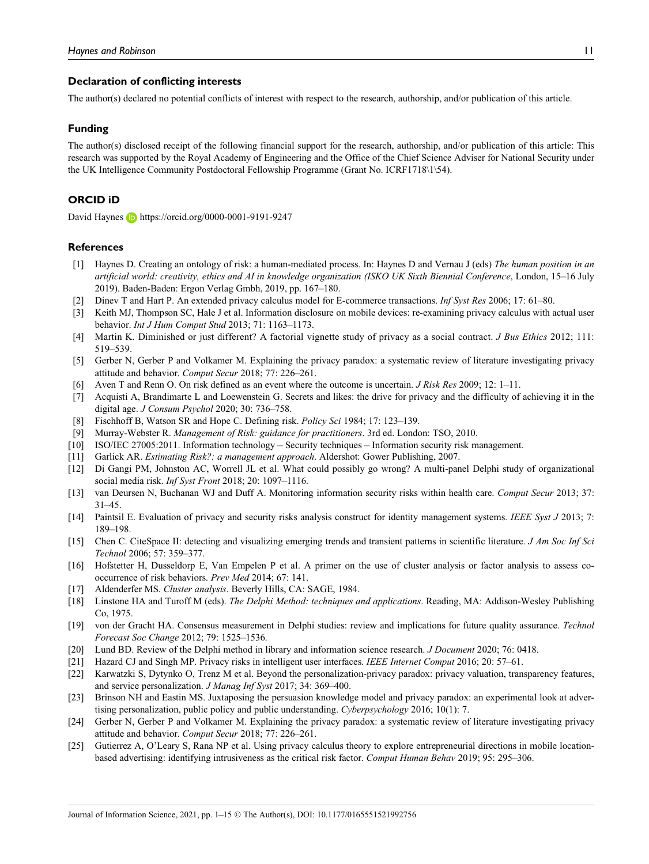#### Declaration of conflicting interests

The author(s) declared no potential conflicts of interest with respect to the research, authorship, and/or publication of this article.

#### Funding

The author(s) disclosed receipt of the following financial support for the research, authorship, and/or publication of this article: This research was supported by the Royal Academy of Engineering and the Office of the Chief Science Adviser for National Security under the UK Intelligence Community Postdoctoral Fellowship Programme (Grant No. ICRF1718\1\54).

#### ORCID iD

David Haynes **iD** <https://orcid.org/0000-0001-9191-9247>

#### **References**

- [1] Haynes D. Creating an ontology of risk: a human-mediated process. In: Haynes D and Vernau J (eds) The human position in an artificial world: creativity, ethics and AI in knowledge organization (ISKO UK Sixth Biennial Conference, London, 15–16 July 2019). Baden-Baden: Ergon Verlag Gmbh, 2019, pp. 167–180.
- [2] Dinev T and Hart P. An extended privacy calculus model for E-commerce transactions. Inf Syst Res 2006; 17: 61–80.
- [3] Keith MJ, Thompson SC, Hale J et al. Information disclosure on mobile devices: re-examining privacy calculus with actual user behavior. Int J Hum Comput Stud 2013; 71: 1163–1173.
- [4] Martin K. Diminished or just different? A factorial vignette study of privacy as a social contract. *J Bus Ethics* 2012; 111: 519–539.
- [5] Gerber N, Gerber P and Volkamer M. Explaining the privacy paradox: a systematic review of literature investigating privacy attitude and behavior. Comput Secur 2018; 77: 226–261.
- Aven T and Renn O. On risk defined as an event where the outcome is uncertain. *J Risk Res* 2009; 12: 1–11.
- [7] Acquisti A, Brandimarte L and Loewenstein G. Secrets and likes: the drive for privacy and the difficulty of achieving it in the digital age. J Consum Psychol 2020; 30: 736-758.
- [8] Fischhoff B, Watson SR and Hope C. Defining risk. Policy Sci 1984; 17: 123–139.
- [9] Murray-Webster R. Management of Risk: guidance for practitioners. 3rd ed. London: TSO, 2010.
- [10] ISO/IEC 27005:2011. Information technology Security techniques Information security risk management.
- [11] Garlick AR. Estimating Risk?: a management approach. Aldershot: Gower Publishing, 2007.
- [12] Di Gangi PM, Johnston AC, Worrell JL et al. What could possibly go wrong? A multi-panel Delphi study of organizational social media risk. *Inf Syst Front* 2018: 20: 1097–1116.
- [13] van Deursen N, Buchanan WJ and Duff A. Monitoring information security risks within health care. Comput Secur 2013; 37: 31–45.
- [14] Paintsil E. Evaluation of privacy and security risks analysis construct for identity management systems. IEEE Syst J 2013; 7: 189–198.
- [15] Chen C. CiteSpace II: detecting and visualizing emerging trends and transient patterns in scientific literature. *J Am Soc Inf Sci* Technol 2006; 57: 359–377.
- [16] Hofstetter H, Dusseldorp E, Van Empelen P et al. A primer on the use of cluster analysis or factor analysis to assess cooccurrence of risk behaviors. Prev Med 2014; 67: 141.
- [17] Aldenderfer MS. Cluster analysis. Beverly Hills, CA: SAGE, 1984.
- [18] Linstone HA and Turoff M (eds). The Delphi Method: techniques and applications. Reading, MA: Addison-Wesley Publishing Co, 1975.
- [19] von der Gracht HA. Consensus measurement in Delphi studies: review and implications for future quality assurance. Technol Forecast Soc Change 2012; 79: 1525–1536.
- [20] Lund BD. Review of the Delphi method in library and information science research. *J Document* 2020; 76: 0418.
- [21] Hazard CJ and Singh MP. Privacy risks in intelligent user interfaces. IEEE Internet Comput 2016; 20: 57–61.
- [22] Karwatzki S, Dytynko O, Trenz M et al. Beyond the personalization-privacy paradox: privacy valuation, transparency features, and service personalization. J Manag Inf Syst 2017; 34: 369–400.
- [23] Brinson NH and Eastin MS. Juxtaposing the persuasion knowledge model and privacy paradox: an experimental look at advertising personalization, public policy and public understanding. Cyberpsychology 2016; 10(1): 7.
- [24] Gerber N, Gerber P and Volkamer M. Explaining the privacy paradox: a systematic review of literature investigating privacy attitude and behavior. Comput Secur 2018; 77: 226–261.
- [25] Gutierrez A, O'Leary S, Rana NP et al. Using privacy calculus theory to explore entrepreneurial directions in mobile locationbased advertising: identifying intrusiveness as the critical risk factor. Comput Human Behav 2019; 95: 295–306.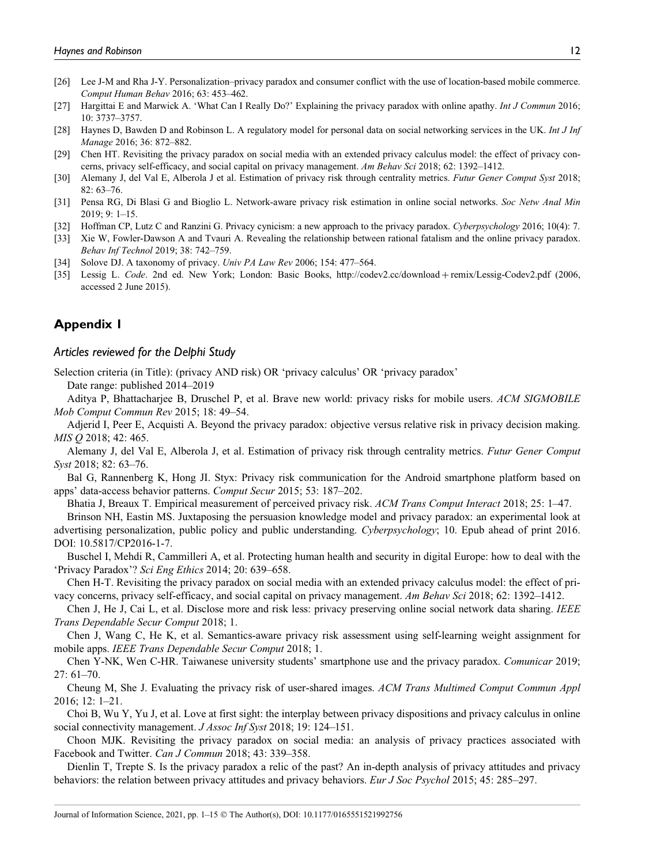- [26] Lee J-M and Rha J-Y. Personalization–privacy paradox and consumer conflict with the use of location-based mobile commerce. Comput Human Behav 2016; 63: 453–462.
- [27] Hargittai E and Marwick A. 'What Can I Really Do?' Explaining the privacy paradox with online apathy. Int J Commun 2016; 10: 3737–3757.
- [28] Haynes D, Bawden D and Robinson L. A regulatory model for personal data on social networking services in the UK. Int J Inf Manage 2016; 36: 872–882.
- [29] Chen HT. Revisiting the privacy paradox on social media with an extended privacy calculus model: the effect of privacy concerns, privacy self-efficacy, and social capital on privacy management. Am Behav Sci 2018; 62: 1392–1412.
- [30] Alemany J, del Val E, Alberola J et al. Estimation of privacy risk through centrality metrics. Futur Gener Comput Syst 2018; 82: 63–76.
- [31] Pensa RG, Di Blasi G and Bioglio L. Network-aware privacy risk estimation in online social networks. Soc Netw Anal Min 2019; 9: 1–15.
- [32] Hoffman CP, Lutz C and Ranzini G. Privacy cynicism: a new approach to the privacy paradox. Cyberpsychology 2016; 10(4): 7.
- [33] Xie W, Fowler-Dawson A and Tvauri A. Revealing the relationship between rational fatalism and the online privacy paradox. Behav Inf Technol 2019; 38: 742–759.
- [34] Solove DJ. A taxonomy of privacy. Univ PA Law Rev 2006; 154: 477-564.
- [35] Lessig L. Code. 2nd ed. New York; London: Basic Books, [http://codev2.cc/download](http://codev2.cc/download+remix/Lessig-Codev2.pdf) + [remix/Lessig-Codev2.pdf](http://codev2.cc/download+remix/Lessig-Codev2.pdf) (2006, accessed 2 June 2015).

# Appendix 1

#### Articles reviewed for the Delphi Study

Selection criteria (in Title): (privacy AND risk) OR 'privacy calculus' OR 'privacy paradox' Date range: published 2014–2019

Aditya P, Bhattacharjee B, Druschel P, et al. Brave new world: privacy risks for mobile users. ACM SIGMOBILE Mob Comput Commun Rev 2015; 18: 49–54.

Adjerid I, Peer E, Acquisti A. Beyond the privacy paradox: objective versus relative risk in privacy decision making. MIS Q 2018; 42: 465.

Alemany J, del Val E, Alberola J, et al. Estimation of privacy risk through centrality metrics. Futur Gener Comput Syst 2018; 82: 63–76.

Bal G, Rannenberg K, Hong JI. Styx: Privacy risk communication for the Android smartphone platform based on apps' data-access behavior patterns. Comput Secur 2015; 53: 187–202.

Bhatia J, Breaux T. Empirical measurement of perceived privacy risk. ACM Trans Comput Interact 2018; 25: 1–47.

Brinson NH, Eastin MS. Juxtaposing the persuasion knowledge model and privacy paradox: an experimental look at advertising personalization, public policy and public understanding. Cyberpsychology; 10. Epub ahead of print 2016. DOI: 10.5817/CP2016-1-7.

Buschel I, Mehdi R, Cammilleri A, et al. Protecting human health and security in digital Europe: how to deal with the 'Privacy Paradox'? Sci Eng Ethics 2014; 20: 639–658.

Chen H-T. Revisiting the privacy paradox on social media with an extended privacy calculus model: the effect of privacy concerns, privacy self-efficacy, and social capital on privacy management. Am Behav Sci 2018; 62: 1392–1412.

Chen J, He J, Cai L, et al. Disclose more and risk less: privacy preserving online social network data sharing. IEEE Trans Dependable Secur Comput 2018; 1.

Chen J, Wang C, He K, et al. Semantics-aware privacy risk assessment using self-learning weight assignment for mobile apps. IEEE Trans Dependable Secur Comput 2018; 1.

Chen Y-NK, Wen C-HR. Taiwanese university students' smartphone use and the privacy paradox. Comunicar 2019; 27: 61–70.

Cheung M, She J. Evaluating the privacy risk of user-shared images. ACM Trans Multimed Comput Commun Appl 2016; 12: 1–21.

Choi B, Wu Y, Yu J, et al. Love at first sight: the interplay between privacy dispositions and privacy calculus in online social connectivity management. *J Assoc Inf Syst* 2018; 19: 124–151.

Choon MJK. Revisiting the privacy paradox on social media: an analysis of privacy practices associated with Facebook and Twitter. Can J Commun 2018; 43: 339–358.

Dienlin T, Trepte S. Is the privacy paradox a relic of the past? An in-depth analysis of privacy attitudes and privacy behaviors: the relation between privacy attitudes and privacy behaviors. Eur J Soc Psychol 2015; 45: 285–297.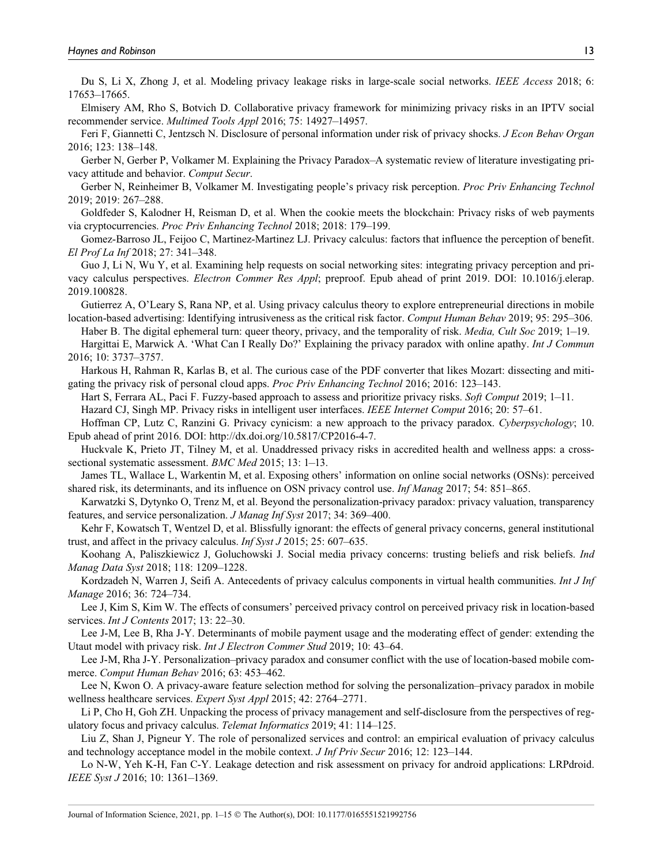Du S, Li X, Zhong J, et al. Modeling privacy leakage risks in large-scale social networks. IEEE Access 2018; 6: 17653–17665.

Elmisery AM, Rho S, Botvich D. Collaborative privacy framework for minimizing privacy risks in an IPTV social recommender service. Multimed Tools Appl 2016; 75: 14927–14957.

Feri F, Giannetti C, Jentzsch N. Disclosure of personal information under risk of privacy shocks. *J Econ Behav Organ* 2016; 123: 138–148.

Gerber N, Gerber P, Volkamer M. Explaining the Privacy Paradox–A systematic review of literature investigating privacy attitude and behavior. Comput Secur.

Gerber N, Reinheimer B, Volkamer M. Investigating people's privacy risk perception. Proc Priv Enhancing Technol 2019; 2019: 267–288.

Goldfeder S, Kalodner H, Reisman D, et al. When the cookie meets the blockchain: Privacy risks of web payments via cryptocurrencies. Proc Priv Enhancing Technol 2018; 2018: 179–199.

Gomez-Barroso JL, Feijoo C, Martinez-Martinez LJ. Privacy calculus: factors that influence the perception of benefit. El Prof La Inf 2018; 27: 341–348.

Guo J, Li N, Wu Y, et al. Examining help requests on social networking sites: integrating privacy perception and privacy calculus perspectives. Electron Commer Res Appl; preproof. Epub ahead of print 2019. DOI: 10.1016/j.elerap. 2019.100828.

Gutierrez A, O'Leary S, Rana NP, et al. Using privacy calculus theory to explore entrepreneurial directions in mobile location-based advertising: Identifying intrusiveness as the critical risk factor. Comput Human Behav 2019; 95: 295–306.

Haber B. The digital ephemeral turn: queer theory, privacy, and the temporality of risk. *Media, Cult Soc* 2019; 1–19.

Hargittai E, Marwick A. 'What Can I Really Do?' Explaining the privacy paradox with online apathy. Int J Commun 2016; 10: 3737–3757.

Harkous H, Rahman R, Karlas B, et al. The curious case of the PDF converter that likes Mozart: dissecting and mitigating the privacy risk of personal cloud apps. Proc Priv Enhancing Technol 2016; 2016: 123–143.

Hart S, Ferrara AL, Paci F. Fuzzy-based approach to assess and prioritize privacy risks. Soft Comput 2019; 1–11.

Hazard CJ, Singh MP. Privacy risks in intelligent user interfaces. IEEE Internet Comput 2016; 20: 57–61.

Hoffman CP, Lutz C, Ranzini G. Privacy cynicism: a new approach to the privacy paradox. Cyberpsychology; 10. Epub ahead of print 2016. DOI: [http://dx.doi.org/10.5817/CP2016-4-7.](http://dx.doi.org/10.5817/CP2016-4-7)

Huckvale K, Prieto JT, Tilney M, et al. Unaddressed privacy risks in accredited health and wellness apps: a crosssectional systematic assessment. BMC Med 2015; 13: 1–13.

James TL, Wallace L, Warkentin M, et al. Exposing others' information on online social networks (OSNs): perceived shared risk, its determinants, and its influence on OSN privacy control use. Inf Manag 2017; 54: 851–865.

Karwatzki S, Dytynko O, Trenz M, et al. Beyond the personalization-privacy paradox: privacy valuation, transparency features, and service personalization. J Manag Inf Syst 2017; 34: 369–400.

Kehr F, Kowatsch T, Wentzel D, et al. Blissfully ignorant: the effects of general privacy concerns, general institutional trust, and affect in the privacy calculus. Inf Syst J 2015; 25: 607–635.

Koohang A, Paliszkiewicz J, Goluchowski J. Social media privacy concerns: trusting beliefs and risk beliefs. Ind Manag Data Syst 2018; 118: 1209–1228.

Kordzadeh N, Warren J, Seifi A. Antecedents of privacy calculus components in virtual health communities. Int J Inf Manage 2016; 36: 724–734.

Lee J, Kim S, Kim W. The effects of consumers' perceived privacy control on perceived privacy risk in location-based services. *Int J Contents* 2017; 13: 22–30.

Lee J-M, Lee B, Rha J-Y. Determinants of mobile payment usage and the moderating effect of gender: extending the Utaut model with privacy risk. Int J Electron Commer Stud 2019; 10: 43–64.

Lee J-M, Rha J-Y. Personalization–privacy paradox and consumer conflict with the use of location-based mobile commerce. Comput Human Behav 2016; 63: 453–462.

Lee N, Kwon O. A privacy-aware feature selection method for solving the personalization–privacy paradox in mobile wellness healthcare services. Expert Syst Appl 2015; 42: 2764–2771.

Li P, Cho H, Goh ZH. Unpacking the process of privacy management and self-disclosure from the perspectives of regulatory focus and privacy calculus. Telemat Informatics 2019; 41: 114–125.

Liu Z, Shan J, Pigneur Y. The role of personalized services and control: an empirical evaluation of privacy calculus and technology acceptance model in the mobile context. J Inf Priv Secur 2016; 12: 123–144.

Lo N-W, Yeh K-H, Fan C-Y. Leakage detection and risk assessment on privacy for android applications: LRPdroid. IEEE Syst J 2016; 10: 1361–1369.